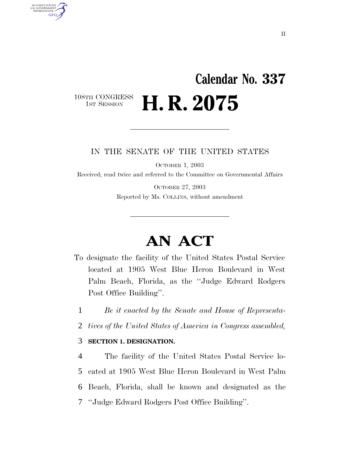## **Calendar No. 337** 108TH CONGRESS<br>1st Session H. R. 2075

IN THE SENATE OF THE UNITED STATES

OCTOBER 1, 2003 Received; read twice and referred to the Committee on Governmental Affairs

> OCTOBER 27, 2003 Reported by Ms. COLLINS, without amendment

# **AN ACT**

- To designate the facility of the United States Postal Service located at 1905 West Blue Heron Boulevard in West Palm Beach, Florida, as the ''Judge Edward Rodgers Post Office Building''.
	- 1 *Be it enacted by the Senate and House of Representa-*
	- 2 *tives of the United States of America in Congress assembled,*

#### 3 **SECTION 1. DESIGNATION.**

AUTHENTICATED U.S. GOVERNMENT **GPO** 

> The facility of the United States Postal Service lo- cated at 1905 West Blue Heron Boulevard in West Palm Beach, Florida, shall be known and designated as the ''Judge Edward Rodgers Post Office Building''.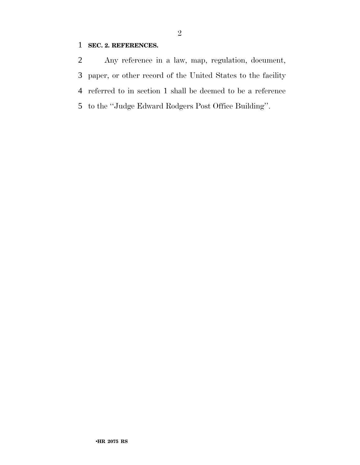#### **SEC. 2. REFERENCES.**

 Any reference in a law, map, regulation, document, paper, or other record of the United States to the facility referred to in section 1 shall be deemed to be a reference to the ''Judge Edward Rodgers Post Office Building''.